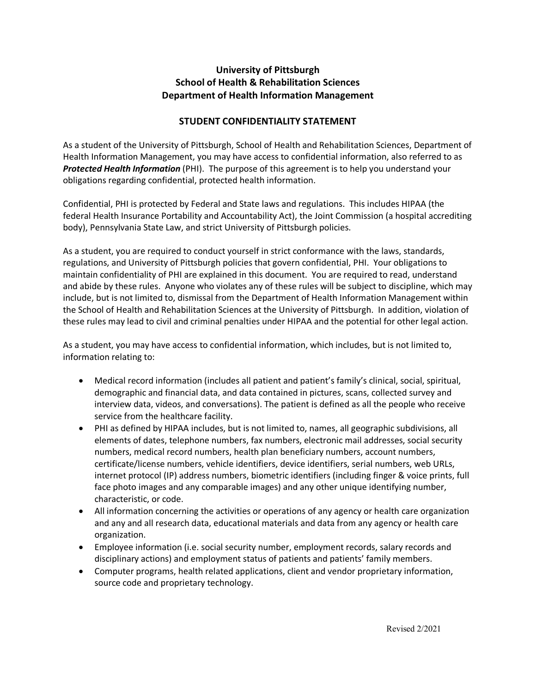## **University of Pittsburgh School of Health & Rehabilitation Sciences Department of Health Information Management**

## **STUDENT CONFIDENTIALITY STATEMENT**

As a student of the University of Pittsburgh, School of Health and Rehabilitation Sciences, Department of Health Information Management, you may have access to confidential information, also referred to as *Protected Health Information* (PHI). The purpose of this agreement is to help you understand your obligations regarding confidential, protected health information.

Confidential, PHI is protected by Federal and State laws and regulations. This includes HIPAA (the federal Health Insurance Portability and Accountability Act), the Joint Commission (a hospital accrediting body), Pennsylvania State Law, and strict University of Pittsburgh policies.

As a student, you are required to conduct yourself in strict conformance with the laws, standards, regulations, and University of Pittsburgh policies that govern confidential, PHI. Your obligations to maintain confidentiality of PHI are explained in this document. You are required to read, understand and abide by these rules. Anyone who violates any of these rules will be subject to discipline, which may include, but is not limited to, dismissal from the Department of Health Information Management within the School of Health and Rehabilitation Sciences at the University of Pittsburgh. In addition, violation of these rules may lead to civil and criminal penalties under HIPAA and the potential for other legal action.

As a student, you may have access to confidential information, which includes, but is not limited to, information relating to:

- Medical record information (includes all patient and patient's family's clinical, social, spiritual, demographic and financial data, and data contained in pictures, scans, collected survey and interview data, videos, and conversations). The patient is defined as all the people who receive service from the healthcare facility.
- PHI as defined by HIPAA includes, but is not limited to, names, all geographic subdivisions, all elements of dates, telephone numbers, fax numbers, electronic mail addresses, social security numbers, medical record numbers, health plan beneficiary numbers, account numbers, certificate/license numbers, vehicle identifiers, device identifiers, serial numbers, web URLs, internet protocol (IP) address numbers, biometric identifiers (including finger & voice prints, full face photo images and any comparable images) and any other unique identifying number, characteristic, or code.
- All information concerning the activities or operations of any agency or health care organization and any and all research data, educational materials and data from any agency or health care organization.
- Employee information (i.e. social security number, employment records, salary records and disciplinary actions) and employment status of patients and patients' family members.
- Computer programs, health related applications, client and vendor proprietary information, source code and proprietary technology.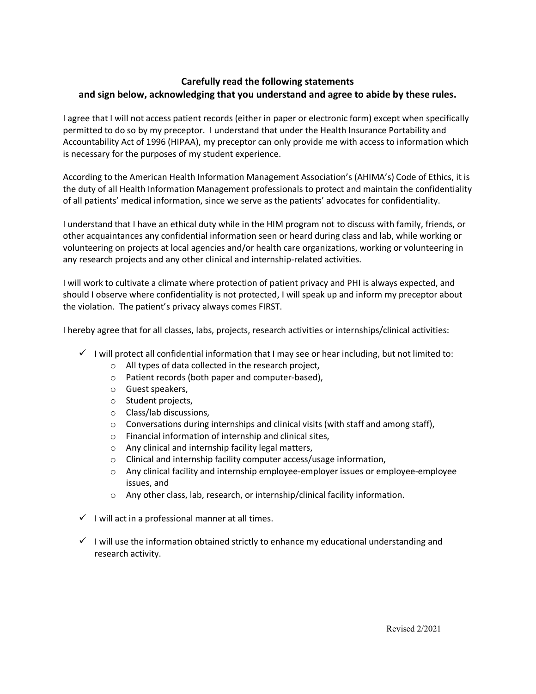## **Carefully read the following statements and sign below, acknowledging that you understand and agree to abide by these rules.**

I agree that I will not access patient records (either in paper or electronic form) except when specifically permitted to do so by my preceptor. I understand that under the Health Insurance Portability and Accountability Act of 1996 (HIPAA), my preceptor can only provide me with access to information which is necessary for the purposes of my student experience.

According to the American Health Information Management Association's (AHIMA's) Code of Ethics, it is the duty of all Health Information Management professionals to protect and maintain the confidentiality of all patients' medical information, since we serve as the patients' advocates for confidentiality.

I understand that I have an ethical duty while in the HIM program not to discuss with family, friends, or other acquaintances any confidential information seen or heard during class and lab, while working or volunteering on projects at local agencies and/or health care organizations, working or volunteering in any research projects and any other clinical and internship-related activities.

I will work to cultivate a climate where protection of patient privacy and PHI is always expected, and should I observe where confidentiality is not protected, I will speak up and inform my preceptor about the violation. The patient's privacy always comes FIRST.

I hereby agree that for all classes, labs, projects, research activities or internships/clinical activities:

- $\checkmark$  I will protect all confidential information that I may see or hear including, but not limited to:
	- o All types of data collected in the research project,
	- o Patient records (both paper and computer-based),
	- o Guest speakers,
	- o Student projects,
	- o Class/lab discussions,
	- o Conversations during internships and clinical visits (with staff and among staff),
	- o Financial information of internship and clinical sites,
	- o Any clinical and internship facility legal matters,
	- o Clinical and internship facility computer access/usage information,
	- o Any clinical facility and internship employee-employer issues or employee-employee issues, and
	- o Any other class, lab, research, or internship/clinical facility information.
- $\checkmark$  I will act in a professional manner at all times.
- $\checkmark$  I will use the information obtained strictly to enhance my educational understanding and research activity.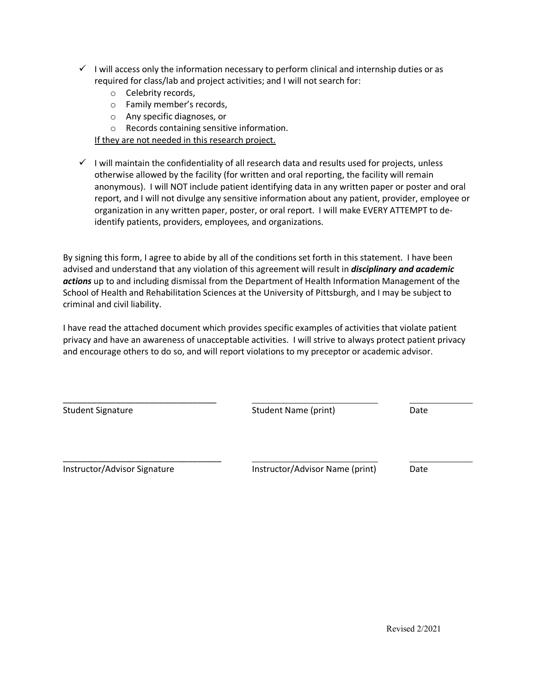- $\checkmark$  I will access only the information necessary to perform clinical and internship duties or as required for class/lab and project activities; and I will not search for:
	- o Celebrity records,
	- o Family member's records,
	- o Any specific diagnoses, or
	- o Records containing sensitive information.

If they are not needed in this research project.

 $\checkmark$  I will maintain the confidentiality of all research data and results used for projects, unless otherwise allowed by the facility (for written and oral reporting, the facility will remain anonymous). I will NOT include patient identifying data in any written paper or poster and oral report, and I will not divulge any sensitive information about any patient, provider, employee or organization in any written paper, poster, or oral report. I will make EVERY ATTEMPT to deidentify patients, providers, employees, and organizations.

By signing this form, I agree to abide by all of the conditions set forth in this statement. I have been advised and understand that any violation of this agreement will result in *disciplinary and academic actions* up to and including dismissal from the Department of Health Information Management of the School of Health and Rehabilitation Sciences at the University of Pittsburgh, and I may be subject to criminal and civil liability.

I have read the attached document which provides specific examples of activities that violate patient privacy and have an awareness of unacceptable activities. I will strive to always protect patient privacy and encourage others to do so, and will report violations to my preceptor or academic advisor.

| <b>Student Signature</b>     | Student Name (print)            | Date |
|------------------------------|---------------------------------|------|
| Instructor/Advisor Signature | Instructor/Advisor Name (print) | Date |